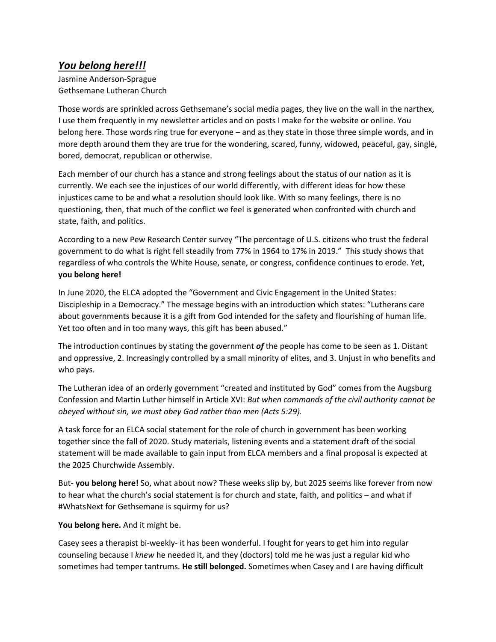## *You belong here!!!*

Jasmine Anderson-Sprague Gethsemane Lutheran Church

Those words are sprinkled across Gethsemane's social media pages, they live on the wall in the narthex, I use them frequently in my newsletter articles and on posts I make for the website or online. You belong here. Those words ring true for everyone – and as they state in those three simple words, and in more depth around them they are true for the wondering, scared, funny, widowed, peaceful, gay, single, bored, democrat, republican or otherwise.

Each member of our church has a stance and strong feelings about the status of our nation as it is currently. We each see the injustices of our world differently, with different ideas for how these injustices came to be and what a resolution should look like. With so many feelings, there is no questioning, then, that much of the conflict we feel is generated when confronted with church and state, faith, and politics.

According to a new Pew Research Center survey "The percentage of U.S. citizens who trust the federal government to do what is right fell steadily from 77% in 1964 to 17% in 2019." This study shows that regardless of who controls the White House, senate, or congress, confidence continues to erode. Yet, **you belong here!** 

In June 2020, the ELCA adopted the "Government and Civic Engagement in the United States: Discipleship in a Democracy." The message begins with an introduction which states: "Lutherans care about governments because it is a gift from God intended for the safety and flourishing of human life. Yet too often and in too many ways, this gift has been abused."

The introduction continues by stating the government *of* the people has come to be seen as 1. Distant and oppressive, 2. Increasingly controlled by a small minority of elites, and 3. Unjust in who benefits and who pays.

The Lutheran idea of an orderly government "created and instituted by God" comes from the Augsburg Confession and Martin Luther himself in Article XVI: *But when commands of the civil authority cannot be obeyed without sin, we must obey God rather than men (Acts 5:29).*

A task force for an ELCA social statement for the role of church in government has been working together since the fall of 2020. Study materials, listening events and a statement draft of the social statement will be made available to gain input from ELCA members and a final proposal is expected at the 2025 Churchwide Assembly.

But- **you belong here!** So, what about now? These weeks slip by, but 2025 seems like forever from now to hear what the church's social statement is for church and state, faith, and politics – and what if #WhatsNext for Gethsemane is squirmy for us?

## **You belong here.** And it might be.

Casey sees a therapist bi-weekly- it has been wonderful. I fought for years to get him into regular counseling because I *knew* he needed it, and they (doctors) told me he was just a regular kid who sometimes had temper tantrums. **He still belonged.** Sometimes when Casey and I are having difficult